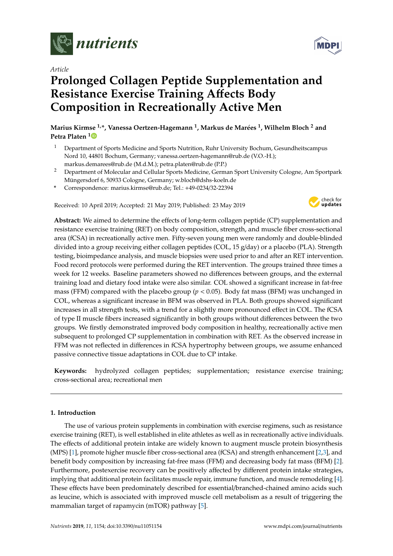

*Article*

# **Prolonged Collagen Peptide Supplementation and Resistance Exercise Training A**ff**ects Body Composition in Recreationally Active Men**

**Marius Kirmse 1,\*, Vanessa Oertzen-Hagemann <sup>1</sup> , Markus de Marées <sup>1</sup> , Wilhelm Bloch <sup>2</sup> and Petra Platen [1](https://orcid.org/0000-0002-3440-8245)**

- <sup>1</sup> Department of Sports Medicine and Sports Nutrition, Ruhr University Bochum, Gesundheitscampus Nord 10, 44801 Bochum, Germany; vanessa.oertzen-hagemann@rub.de (V.O.-H.); markus.demarees@rub.de (M.d.M.); petra.platen@rub.de (P.P.)
- <sup>2</sup> Department of Molecular and Cellular Sports Medicine, German Sport University Cologne, Am Sportpark Müngersdorf 6, 50933 Cologne, Germany; w.bloch@dshs-koeln.de
- **\*** Correspondence: marius.kirmse@rub.de; Tel.: +49-0234/32-22394

Received: 10 April 2019; Accepted: 21 May 2019; Published: 23 May 2019



**Abstract:** We aimed to determine the effects of long-term collagen peptide (CP) supplementation and resistance exercise training (RET) on body composition, strength, and muscle fiber cross-sectional area (fCSA) in recreationally active men. Fifty-seven young men were randomly and double-blinded divided into a group receiving either collagen peptides (COL, 15 g/day) or a placebo (PLA). Strength testing, bioimpedance analysis, and muscle biopsies were used prior to and after an RET intervention. Food record protocols were performed during the RET intervention. The groups trained three times a week for 12 weeks. Baseline parameters showed no differences between groups, and the external training load and dietary food intake were also similar. COL showed a significant increase in fat-free mass (FFM) compared with the placebo group (*p* < 0.05). Body fat mass (BFM) was unchanged in COL, whereas a significant increase in BFM was observed in PLA. Both groups showed significant increases in all strength tests, with a trend for a slightly more pronounced effect in COL. The fCSA of type II muscle fibers increased significantly in both groups without differences between the two groups. We firstly demonstrated improved body composition in healthy, recreationally active men subsequent to prolonged CP supplementation in combination with RET. As the observed increase in FFM was not reflected in differences in fCSA hypertrophy between groups, we assume enhanced passive connective tissue adaptations in COL due to CP intake.

**Keywords:** hydrolyzed collagen peptides; supplementation; resistance exercise training; cross-sectional area; recreational men

# **1. Introduction**

The use of various protein supplements in combination with exercise regimens, such as resistance exercise training (RET), is well established in elite athletes as well as in recreationally active individuals. The effects of additional protein intake are widely known to augment muscle protein biosynthesis (MPS) [\[1\]](#page-13-0), promote higher muscle fiber cross-sectional area (fCSA) and strength enhancement [\[2](#page-13-1)[,3\]](#page-13-2), and benefit body composition by increasing fat-free mass (FFM) and decreasing body fat mass (BFM) [\[2\]](#page-13-1). Furthermore, postexercise recovery can be positively affected by different protein intake strategies, implying that additional protein facilitates muscle repair, immune function, and muscle remodeling [\[4\]](#page-13-3). These effects have been predominately described for essential/branched-chained amino acids such as leucine, which is associated with improved muscle cell metabolism as a result of triggering the mammalian target of rapamycin (mTOR) pathway [\[5\]](#page-13-4).

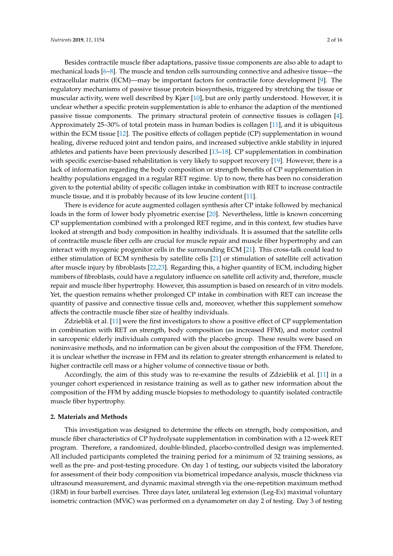Besides contractile muscle fiber adaptations, passive tissue components are also able to adapt to mechanical loads [\[6–](#page-13-5)[8\]](#page-13-6). The muscle and tendon cells surrounding connective and adhesive tissue—the extracellular matrix (ECM)—may be important factors for contractile force development [\[9\]](#page-13-7). The regulatory mechanisms of passive tissue protein biosynthesis, triggered by stretching the tissue or muscular activity, were well described by Kjær [\[10\]](#page-13-8), but are only partly understood. However, it is unclear whether a specific protein supplementation is able to enhance the adaption of the mentioned passive tissue components. The primary structural protein of connective tissues is collagen [\[4\]](#page-13-3). Approximately 25–30% of total protein mass in human bodies is collagen [\[11\]](#page-13-9), and it is ubiquitous within the ECM tissue [\[12\]](#page-13-10). The positive effects of collagen peptide (CP) supplementation in wound healing, diverse reduced joint and tendon pains, and increased subjective ankle stability in injured athletes and patients have been previously described [\[13–](#page-13-11)[18\]](#page-14-0). CP supplementation in combination with specific exercise-based rehabilitation is very likely to support recovery [\[19\]](#page-14-1). However, there is a lack of information regarding the body composition or strength benefits of CP supplementation in healthy populations engaged in a regular RET regime. Up to now, there has been no consideration given to the potential ability of specific collagen intake in combination with RET to increase contractile muscle tissue, and it is probably because of its low leucine content [\[11\]](#page-13-9).

There is evidence for acute augmented collagen synthesis after CP intake followed by mechanical loads in the form of lower body plyometric exercise [\[20\]](#page-14-2). Nevertheless, little is known concerning CP supplementation combined with a prolonged RET regime, and in this context, few studies have looked at strength and body composition in healthy individuals. It is assumed that the satellite cells of contractile muscle fiber cells are crucial for muscle repair and muscle fiber hypertrophy and can interact with myogenic progenitor cells in the surrounding ECM [\[21\]](#page-14-3). This cross-talk could lead to either stimulation of ECM synthesis by satellite cells [\[21\]](#page-14-3) or stimulation of satellite cell activation after muscle injury by fibroblasts [\[22](#page-14-4)[,23\]](#page-14-5). Regarding this, a higher quantity of ECM, including higher numbers of fibroblasts, could have a regulatory influence on satellite cell activity and, therefore, muscle repair and muscle fiber hypertrophy. However, this assumption is based on research of in vitro models. Yet, the question remains whether prolonged CP intake in combination with RET can increase the quantity of passive and connective tissue cells and, moreover, whether this supplement somehow affects the contractile muscle fiber size of healthy individuals.

Zdzieblik et al. [\[11\]](#page-13-9) were the first investigators to show a positive effect of CP supplementation in combination with RET on strength, body composition (as increased FFM), and motor control in sarcopenic elderly individuals compared with the placebo group. These results were based on noninvasive methods, and no information can be given about the composition of the FFM. Therefore, it is unclear whether the increase in FFM and its relation to greater strength enhancement is related to higher contractile cell mass or a higher volume of connective tissue or both.

Accordingly, the aim of this study was to re-examine the results of Zdzieblik et al. [\[11\]](#page-13-9) in a younger cohort experienced in resistance training as well as to gather new information about the composition of the FFM by adding muscle biopsies to methodology to quantify isolated contractile muscle fiber hypertrophy.

#### **2. Materials and Methods**

This investigation was designed to determine the effects on strength, body composition, and muscle fiber characteristics of CP hydrolysate supplementation in combination with a 12-week RET program. Therefore, a randomized, double-blinded, placebo-controlled design was implemented. All included participants completed the training period for a minimum of 32 training sessions, as well as the pre- and post-testing procedure. On day 1 of testing, our subjects visited the laboratory for assessment of their body composition via biometrical impedance analysis, muscle thickness via ultrasound measurement, and dynamic maximal strength via the one-repetition maximum method (1RM) in four barbell exercises. Three days later, unilateral leg extension (Leg-Ex) maximal voluntary isometric contraction (MViC) was performed on a dynamometer on day 2 of testing. Day 3 of testing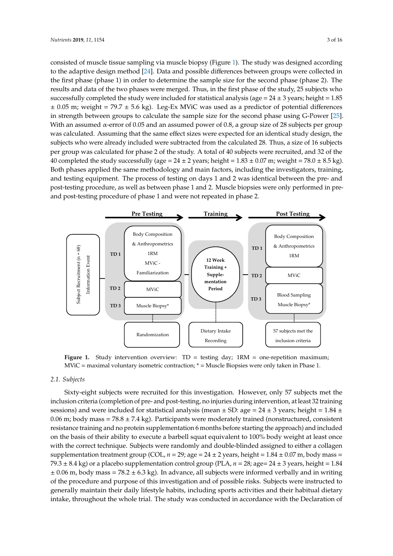consisted of muscle tissue sampling via muscle biopsy (Figure [1\)](#page-2-0). The study was designed according to the adaptive design method [\[24\]](#page-14-6). Data and possible differences between groups were collected in the first phase (phase 1) in order to determine the sample size for the second phase (phase 2). The results and data of the two phases were merged. Thus, in the first phase of the study, 25 subjects who successfully completed the study were included for statistical analysis (age =  $24 \pm 3$  years; height = 1.85  $\pm$  0.05 m; weight = 79.7  $\pm$  5.6 kg). Leg-Ex MViC was used as a predictor of potential differences in strength between groups to calculate the sample size for the second phase using G-Power [\[25\]](#page-14-7). With an assumed  $\alpha$ -error of 0.05 and an assumed power of 0.8, a group size of 28 subjects per group was calculated. Assuming that the same effect sizes were expected for an identical study design, the subjects who were already included were subtracted from the calculated 28. Thus, a size of 16 subjects per group was calculated for phase 2 of the study. A total of 40 subjects were recruited, and 32 of the 40 completed the study successfully (age =  $24 \pm 2$  years; height =  $1.83 \pm 0.07$  m; weight =  $78.0 \pm 8.5$  kg). Both phases applied the same methodology and main factors, including the investigators, training, Both phases applied the same methodology and main factors, including the investigators, training, and testing equipment. The process of testing on days 1 and 2 was identical between the pre- and and testing equipment. The process of testing on days 1 and 2 was identical between the pre- and post-testing procedure, as well as between phase 1 and 2. Muscle biopsies were only performed in pre-post-testing procedure, as well as between phase 1 and 2. Muscle biopsies were only performed in and post-testing procedure of phase 1 and were not repeated in phase 2. pre- and post-testing procedure of phase 1 and were not repeated in phase 2. per group was calculated for phase 2 of the study. A total of  $4.92 \times 3.07$  subjects were recruited, and 32 of the study.

<span id="page-2-0"></span>

**Figure 1.** Study intervention overview: TD = testing day; 1RM = one-repetition maximum; MViC = Figure 1. Study intervention overview: TD = testing day; 1RM = one-repetition maximum;  $MViC =$  maximal voluntary isometric contraction;  $* =$  Muscle Biopsies were only taken in Phase 1.

#### $\it{cts}$ *2.1. Subjects*

*2.1. Subjects*  Sixty-eight subjects were recruited for this investigation. However, only 57 subjects met the inclusion criteria (completion of pre- and post-testing, no injuries during intervention, at least 32 training<br>
inclusion criteria (completion of pre- and post-testing, no injuries during intervention, at least 32 training sessions) and were included for statistical analysis (mean  $\pm$  SD: age = 24  $\pm$  3 years; height = 1.84  $\pm$ 0.06 m; body mass =  $78.8 \pm 7.4$  kg). Participants were moderately trained (nonstructured, consistent resistance training and no protein supplementation 6 months before starting the approach) and included on the basis of their ability to execute a barbell squat equivalent to 100% body weight at least once with the correct technique. Subjects were randomly and double-blinded assigned to either a collagen supplementation treatment group (COL,  $n = 29$ ; age =  $24 \pm 2$  years, height =  $1.84 \pm 0.07$  m, body mass = 79.3  $\pm$  8.4 kg) or a placebo supplementation control group (PLA,  $n = 28$ ; age= 24  $\pm$  3 years, height = 1.84  $\pm$  0.06 m, body mass = 78.2  $\pm$  6.3 kg). In advance, all subjects were informed verbally and in writing  $\frac{3}{2}$  years, here  $\frac{3}{2}$ . In advance, all subjects were informed in advance, all subjects were informed informed informed informed informed informed informed informed informed informed informed informed informed in of the procedure and purpose of this investigation and of possible risks. Subjects were instructed to generally maintain their daily lifestyle habits, including sports activities and their habitual dietary intake, throughout the whole trial. The study was conducted in accordance with the Declaration of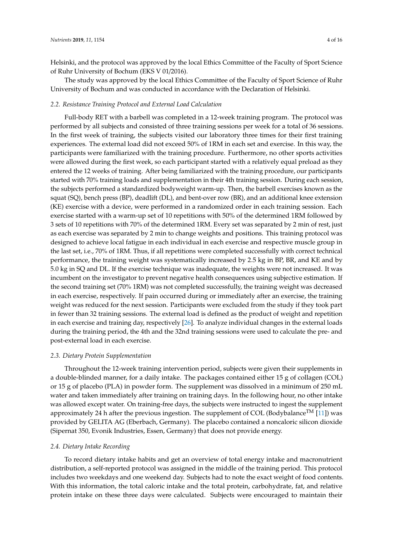Helsinki, and the protocol was approved by the local Ethics Committee of the Faculty of Sport Science of Ruhr University of Bochum (EKS V 01/2016).

The study was approved by the local Ethics Committee of the Faculty of Sport Science of Ruhr University of Bochum and was conducted in accordance with the Declaration of Helsinki.

#### *2.2. Resistance Training Protocol and External Load Calculation*

Full-body RET with a barbell was completed in a 12-week training program. The protocol was performed by all subjects and consisted of three training sessions per week for a total of 36 sessions. In the first week of training, the subjects visited our laboratory three times for their first training experiences. The external load did not exceed 50% of 1RM in each set and exercise. In this way, the participants were familiarized with the training procedure. Furthermore, no other sports activities were allowed during the first week, so each participant started with a relatively equal preload as they entered the 12 weeks of training. After being familiarized with the training procedure, our participants started with 70% training loads and supplementation in their 4th training session. During each session, the subjects performed a standardized bodyweight warm-up. Then, the barbell exercises known as the squat (SQ), bench press (BP), deadlift (DL), and bent-over row (BR), and an additional knee extension (KE) exercise with a device, were performed in a randomized order in each training session. Each exercise started with a warm-up set of 10 repetitions with 50% of the determined 1RM followed by 3 sets of 10 repetitions with 70% of the determined 1RM. Every set was separated by 2 min of rest, just as each exercise was separated by 2 min to change weights and positions. This training protocol was designed to achieve local fatigue in each individual in each exercise and respective muscle group in the last set, i.e., 70% of 1RM. Thus, if all repetitions were completed successfully with correct technical performance, the training weight was systematically increased by 2.5 kg in BP, BR, and KE and by 5.0 kg in SQ and DL. If the exercise technique was inadequate, the weights were not increased. It was incumbent on the investigator to prevent negative health consequences using subjective estimation. If the second training set (70% 1RM) was not completed successfully, the training weight was decreased in each exercise, respectively. If pain occurred during or immediately after an exercise, the training weight was reduced for the next session. Participants were excluded from the study if they took part in fewer than 32 training sessions. The external load is defined as the product of weight and repetition in each exercise and training day, respectively [\[26\]](#page-14-8). To analyze individual changes in the external loads during the training period, the 4th and the 32nd training sessions were used to calculate the pre- and post-external load in each exercise.

### *2.3. Dietary Protein Supplementation*

Throughout the 12-week training intervention period, subjects were given their supplements in a double-blinded manner, for a daily intake. The packages contained either 15 g of collagen (COL) or 15 g of placebo (PLA) in powder form. The supplement was dissolved in a minimum of 250 mL water and taken immediately after training on training days. In the following hour, no other intake was allowed except water. On training-free days, the subjects were instructed to ingest the supplement approximately 24 h after the previous ingestion. The supplement of COL (Bodybalance<sup>TM</sup> [\[11\]](#page-13-9)) was provided by GELITA AG (Eberbach, Germany). The placebo contained a noncaloric silicon dioxide (Sipernat 350, Evonik Industries, Essen, Germany) that does not provide energy.

# *2.4. Dietary Intake Recording*

To record dietary intake habits and get an overview of total energy intake and macronutrient distribution, a self-reported protocol was assigned in the middle of the training period. This protocol includes two weekdays and one weekend day. Subjects had to note the exact weight of food contents. With this information, the total caloric intake and the total protein, carbohydrate, fat, and relative protein intake on these three days were calculated. Subjects were encouraged to maintain their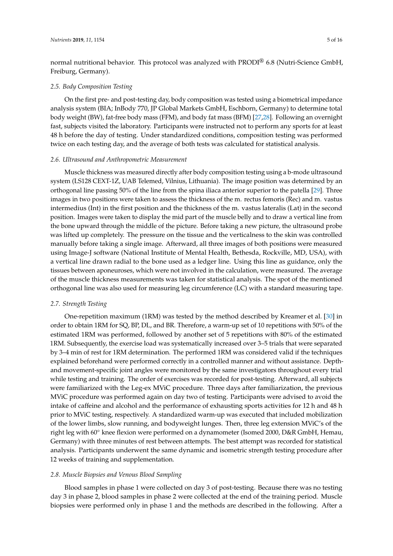normal nutritional behavior. This protocol was analyzed with PRODI<sup>®</sup> 6.8 (Nutri-Science GmbH, Freiburg, Germany).

# *2.5. Body Composition Testing*

On the first pre- and post-testing day, body composition was tested using a biometrical impedance analysis system (BIA; InBody 770, JP Global Markets GmbH, Eschborn, Germany) to determine total body weight (BW), fat-free body mass (FFM), and body fat mass (BFM) [\[27,](#page-14-9)[28\]](#page-14-10). Following an overnight fast, subjects visited the laboratory. Participants were instructed not to perform any sports for at least 48 h before the day of testing. Under standardized conditions, composition testing was performed twice on each testing day, and the average of both tests was calculated for statistical analysis.

### *2.6. Ultrasound and Anthropometric Measurement*

Muscle thickness was measured directly after body composition testing using a b-mode ultrasound system (LS128 CEXT-1Z, UAB Telemed, Vilnius, Lithuania). The image position was determined by an orthogonal line passing 50% of the line from the spina iliaca anterior superior to the patella [\[29\]](#page-14-11). Three images in two positions were taken to assess the thickness of the m. rectus femoris (Rec) and m. vastus intermedius (Int) in the first position and the thickness of the m. vastus lateralis (Lat) in the second position. Images were taken to display the mid part of the muscle belly and to draw a vertical line from the bone upward through the middle of the picture. Before taking a new picture, the ultrasound probe was lifted up completely. The pressure on the tissue and the verticalness to the skin was controlled manually before taking a single image. Afterward, all three images of both positions were measured using Image-J software (National Institute of Mental Health, Bethesda, Rockville, MD, USA), with a vertical line drawn radial to the bone used as a ledger line. Using this line as guidance, only the tissues between aponeuroses, which were not involved in the calculation, were measured. The average of the muscle thickness measurements was taken for statistical analysis. The spot of the mentioned orthogonal line was also used for measuring leg circumference (LC) with a standard measuring tape.

# *2.7. Strength Testing*

One-repetition maximum (1RM) was tested by the method described by Kreamer et al. [\[30\]](#page-14-12) in order to obtain 1RM for SQ, BP, DL, and BR. Therefore, a warm-up set of 10 repetitions with 50% of the estimated 1RM was performed, followed by another set of 5 repetitions with 80% of the estimated 1RM. Subsequently, the exercise load was systematically increased over 3–5 trials that were separated by 3–4 min of rest for 1RM determination. The performed 1RM was considered valid if the techniques explained beforehand were performed correctly in a controlled manner and without assistance. Depthand movement-specific joint angles were monitored by the same investigators throughout every trial while testing and training. The order of exercises was recorded for post-testing. Afterward, all subjects were familiarized with the Leg-ex MViC procedure. Three days after familiarization, the previous MViC procedure was performed again on day two of testing. Participants were advised to avoid the intake of caffeine and alcohol and the performance of exhausting sports activities for 12 h and 48 h prior to MViC testing, respectively. A standardized warm-up was executed that included mobilization of the lower limbs, slow running, and bodyweight lunges. Then, three leg extension MViC's of the right leg with 60◦ knee flexion were performed on a dynamometer (Isomed 2000, D&R GmbH, Hemau, Germany) with three minutes of rest between attempts. The best attempt was recorded for statistical analysis. Participants underwent the same dynamic and isometric strength testing procedure after 12 weeks of training and supplementation.

### *2.8. Muscle Biopsies and Venous Blood Sampling*

Blood samples in phase 1 were collected on day 3 of post-testing. Because there was no testing day 3 in phase 2, blood samples in phase 2 were collected at the end of the training period. Muscle biopsies were performed only in phase 1 and the methods are described in the following. After a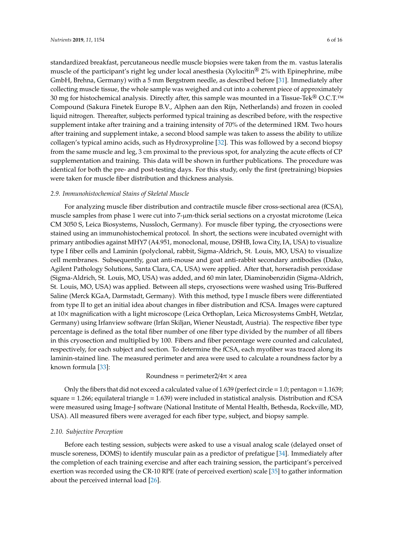standardized breakfast, percutaneous needle muscle biopsies were taken from the m. vastus lateralis muscle of the participant's right leg under local anesthesia (Xylocitin® 2% with Epinephrine, mibe GmbH, Brehna, Germany) with a 5 mm Bergstrøm needle, as described before [\[31\]](#page-14-13). Immediately after collecting muscle tissue, the whole sample was weighed and cut into a coherent piece of approximately 30 mg for histochemical analysis. Directly after, this sample was mounted in a Tissue-Tek<sup>®</sup> O.C.T.<sup>™</sup> Compound (Sakura Finetek Europe B.V., Alphen aan den Rijn, Netherlands) and frozen in cooled liquid nitrogen. Thereafter, subjects performed typical training as described before, with the respective supplement intake after training and a training intensity of 70% of the determined 1RM. Two hours after training and supplement intake, a second blood sample was taken to assess the ability to utilize collagen's typical amino acids, such as Hydroxyproline [\[32\]](#page-14-14). This was followed by a second biopsy from the same muscle and leg, 3 cm proximal to the previous spot, for analyzing the acute effects of CP supplementation and training. This data will be shown in further publications. The procedure was identical for both the pre- and post-testing days. For this study, only the first (pretraining) biopsies were taken for muscle fiber distribution and thickness analysis.

#### *2.9. Immunohistochemical Stains of Skeletal Muscle*

For analyzing muscle fiber distribution and contractile muscle fiber cross-sectional area (fCSA), muscle samples from phase 1 were cut into 7-µm-thick serial sections on a cryostat microtome (Leica CM 3050 S, Leica Biosystems, Nussloch, Germany). For muscle fiber typing, the cryosections were stained using an immunohistochemical protocol. In short, the sections were incubated overnight with primary antibodies against MHY7 (A4.951, monoclonal, mouse, DSHB, Iowa City, IA, USA) to visualize type I fiber cells and Laminin (polyclonal, rabbit, Sigma-Aldrich, St. Louis, MO, USA) to visualize cell membranes. Subsequently, goat anti-mouse and goat anti-rabbit secondary antibodies (Dako, Agilent Pathology Solutions, Santa Clara, CA, USA) were applied. After that, horseradish peroxidase (Sigma-Aldrich, St. Louis, MO, USA) was added, and 60 min later, Diaminobenzidin (Sigma-Aldrich, St. Louis, MO, USA) was applied. Between all steps, cryosections were washed using Tris-Buffered Saline (Merck KGaA, Darmstadt, Germany). With this method, type I muscle fibers were differentiated from type II to get an initial idea about changes in fiber distribution and fCSA. Images were captured at 10× magnification with a light microscope (Leica Orthoplan, Leica Microsystems GmbH, Wetzlar, Germany) using Irfanview software (Irfan Skiljan, Wiener Neustadt, Austria). The respective fiber type percentage is defined as the total fiber number of one fiber type divided by the number of all fibers in this cryosection and multiplied by 100. Fibers and fiber percentage were counted and calculated, respectively, for each subject and section. To determine the fCSA, each myofiber was traced along its laminin-stained line. The measured perimeter and area were used to calculate a roundness factor by a known formula [\[33\]](#page-14-15):

#### Roundness = perimeter $2/4\pi \times$  area

Only the fibers that did not exceed a calculated value of  $1.639$  (perfect circle = 1.0; pentagon =  $1.1639$ ; square = 1.266; equilateral triangle = 1.639) were included in statistical analysis. Distribution and fCSA were measured using Image-J software (National Institute of Mental Health, Bethesda, Rockville, MD, USA). All measured fibers were averaged for each fiber type, subject, and biopsy sample.

# *2.10. Subjective Perception*

Before each testing session, subjects were asked to use a visual analog scale (delayed onset of muscle soreness, DOMS) to identify muscular pain as a predictor of prefatigue [\[34\]](#page-14-16). Immediately after the completion of each training exercise and after each training session, the participant's perceived exertion was recorded using the CR-10 RPE (rate of perceived exertion) scale [\[35\]](#page-14-17) to gather information about the perceived internal load [\[26\]](#page-14-8).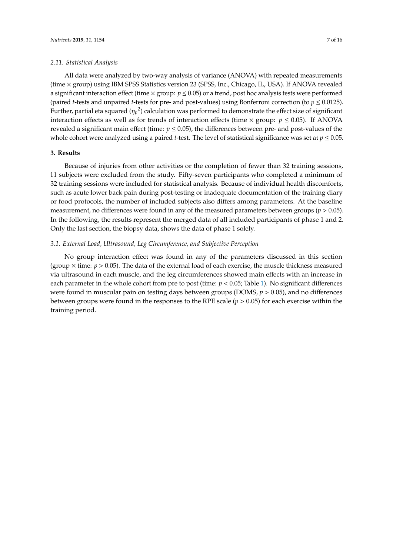#### *2.11. Statistical Analysis*

All data were analyzed by two-way analysis of variance (ANOVA) with repeated measurements (time × group) using IBM SPSS Statistics version 23 (SPSS, Inc., Chicago, IL, USA). If ANOVA revealed a significant interaction effect (time  $\times$  group:  $p \le 0.05$ ) or a trend, post hoc analysis tests were performed (paired *t*-tests and unpaired *t*-tests for pre- and post-values) using Bonferroni correction (to  $p \le 0.0125$ ). Further, partial eta squared ( $\eta_p$ <sup>2</sup>) calculation was performed to demonstrate the effect size of significant interaction effects as well as for trends of interaction effects (time  $\times$  group:  $p \le 0.05$ ). If ANOVA revealed a significant main effect (time: *p* ≤ 0.05), the differences between pre- and post-values of the whole cohort were analyzed using a paired *t*-test. The level of statistical significance was set at  $p \leq 0.05$ .

#### **3. Results**

Because of injuries from other activities or the completion of fewer than 32 training sessions, 11 subjects were excluded from the study. Fifty-seven participants who completed a minimum of 32 training sessions were included for statistical analysis. Because of individual health discomforts, such as acute lower back pain during post-testing or inadequate documentation of the training diary or food protocols, the number of included subjects also differs among parameters. At the baseline measurement, no differences were found in any of the measured parameters between groups ( $p > 0.05$ ). In the following, the results represent the merged data of all included participants of phase 1 and 2. Only the last section, the biopsy data, shows the data of phase 1 solely.

### *3.1. External Load, Ultrasound, Leg Circumference, and Subjective Perception*

No group interaction effect was found in any of the parameters discussed in this section (group  $\times$  time:  $p > 0.05$ ). The data of the external load of each exercise, the muscle thickness measured via ultrasound in each muscle, and the leg circumferences showed main effects with an increase in each parameter in the whole cohort from pre to post (time:  $p < 0.05$ ; Table [1\)](#page-7-0). No significant differences were found in muscular pain on testing days between groups (DOMS, *p* > 0.05), and no differences between groups were found in the responses to the RPE scale  $(p > 0.05)$  for each exercise within the training period.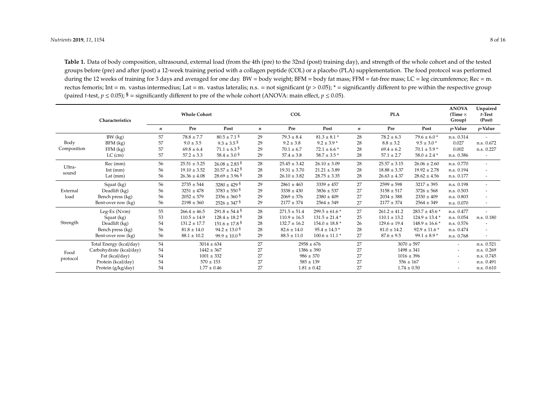**Table 1.** Data of body composition, ultrasound, external load (from the 4th (pre) to the 32nd (post) training day), and strength of the whole cohort and of the tested groups before (pre) and after (post) a 12-week training period with a collagen peptide (COL) or a placebo (PLA) supplementation. The food protocol was performed during the 12 weeks of training for 3 days and averaged for one day.  $BW = body$  weight;  $BFM = body$  fat mass;  $FFM = fat-free$  mass;  $LC = leg$  circumference;  $Rec = m$ . rectus femoris; Int = m. vastus intermedius; Lat = m. vastus lateralis; n.s. = not significant (*p* > 0.05); \* = significantly different to pre within the respective group (paired *t*-test,  $p \le 0.05$ );  $\hat{s}$  = significantly different to pre of the whole cohort (ANOVA: main effect,  $p \le 0.05$ ).

<span id="page-7-0"></span>

|                     | Characteristics         | <b>Whole Cohort</b> |                  |                               | <b>COL</b>       |                  |                               | <b>PLA</b>       |                  |                    | <b>ANOVA</b><br>(Time $\times$<br>Group) | Unpaired<br>$t$ -Test<br>(Post) |
|---------------------|-------------------------|---------------------|------------------|-------------------------------|------------------|------------------|-------------------------------|------------------|------------------|--------------------|------------------------------------------|---------------------------------|
|                     |                         |                     | Pre              | Post                          | $\boldsymbol{n}$ | Pre              | Post                          | $\boldsymbol{n}$ | Pre              | Post               | $p$ -Value                               | <i>p</i> -Value                 |
| Body<br>Composition | BW (kg)                 | 57                  | $78.8 \pm 7.7$   | $80.5 \pm 7.1$ §              | 29               | $79.3 \pm 8.4$   | $81.3 \pm 8.1$ *              | 28               | $78.2 \pm 6.3$   | $79.6 \pm 6.0$ *   | n.s. 0.314                               |                                 |
|                     | $BFM$ (kg)              | 57                  | $9.0 \pm 3.5$    | $9.3 \pm 3.5$ <sup>§</sup>    | 29               | $9.2 \pm 3.8$    | $9.2 \pm 3.9$ *               | 28               | $8.8 \pm 3.2$    | $9.5 \pm 3.0$ *    | 0.027                                    | n.s. 0.672                      |
|                     | $FFM$ (kg)              | 57                  | $69.8 \pm 6.4$   | $71.1 \pm 6.3$ <sup>§</sup>   | 29               | $70.1 \pm 6.7$   | $72.1 \pm 6.6$ *              | 28               | $69.4 \pm 6.2$   | $70.1 \pm 5.9$ *   | 0.002                                    | n.s. 0.227                      |
|                     | $LC$ (cm)               | 57                  | $57.2 \pm 3.3$   | $58.4 \pm 3.0^{\text{S}}$     | 29               | $57.4 \pm 3.8$   | $58.7 \pm 3.5$ *              | 28               | $57.1 \pm 2.7$   | $58.0 \pm 2.4$ *   | n.s. 0.386                               |                                 |
| Ultra-<br>sound     | Rec (mm)                | 56                  | $25.51 \pm 3.25$ | $26.08 \pm 2.83$ <sup>§</sup> | 28               | $25.45 \pm 3.42$ | $26.10 \pm 3.09$              | 28               | $25.57 \pm 3.15$ | $26.06 \pm 2.60$   | n.s. 0.770                               | $\overline{\phantom{a}}$        |
|                     | Int $(mm)$              | 56                  | $19.10 \pm 3.52$ | $20.57 \pm 3.42$ S            | 28               | $19.31 \pm 3.70$ | $21.21 \pm 3.89$              | 28               | $18.88 \pm 3.37$ | $19.92 \pm 2.78$   | n.s. 0.194                               |                                 |
|                     | Lat $(mm)$              | 56                  | $26.36 \pm 4.08$ | $28.69 \pm 3.96$ s            | 28               | $26.10 \pm 3.82$ | $28.75 \pm 3.35$              | 28               | $26.63 \pm 4.37$ | $28.62 \pm 4.56$   | n.s. 0.177                               | $\overline{\phantom{a}}$        |
| External<br>load    | Squat (kg)              | 56                  | $2735 \pm 544$   | $3280 \pm 429$ s              | 29               | $2861 \pm 463$   | $3339 \pm 457$                | 27               | $2599 \pm 598$   | $3217 \pm 395$     | n.s. 0.198                               | $\overline{\phantom{a}}$        |
|                     | Deadlift (kg)           | 56                  | $3251 \pm 478$   | $3783 \pm 550$ s              | 29               | $3338 \pm 430$   | $3836 \pm 537$                | 27               | $3158 \pm 517$   | $3726 \pm 568$     | n.s. 0.503                               | $\overline{\phantom{a}}$        |
|                     | Bench press (kg)        | 56                  | $2052 \pm 379$   | $2356 \pm 360$ §              | 29               | $2069 \pm 376$   | $2380 \pm 409$                | 27               | $2034 \pm 388$   | $2330 \pm 409$     | n.s. 0.803                               | ٠                               |
|                     | Bent-over row (kg)      | 56                  | $2198 \pm 360$   | $2526 \pm 347$ <sup>§</sup>   | 29               | $2177 \pm 374$   | $2564 \pm 349$                | 27               | $2177 \pm 374$   | $2564 \pm 349$     | n.s. 0.070                               | $\overline{\phantom{a}}$        |
| Strength            | Leg-Ex $(N \times m)$   | 55                  | $266.4 \pm 46.5$ | $291.8 \pm 54.4$ S            | 28               | $271.5 \pm 51.4$ | $299.5 \pm 61.6$ *            | 27               | $261.2 \pm 41.2$ | $283.7 \pm 45.6$ * | n.s. 0.477                               |                                 |
|                     | Squat (kg)              | 53                  | $110.5 \pm 14.9$ | $128.4 \pm 18.2$ <sup>§</sup> | 28               | $110.9 \pm 16.5$ | $131.5 \pm 21.4$ *            | 25               | $110.1 \pm 13.2$ | $124.9 \pm 13.4$ * | n.s. 0.054                               | n.s. 0.180                      |
|                     | Deadlift (kg)           | 54                  | $131.2 \pm 17.7$ | $151.6 \pm 17.8$ <sup>§</sup> | 28               | $132.7 \pm 16.2$ | $154.0 \pm 18.8$ <sup>*</sup> | 26               | $129.6 \pm 19.4$ | $148.9 \pm 16.6$ * | n.s. 0.576                               |                                 |
|                     | Bench press (kg)        | 56                  | $81.8 \pm 14.0$  | $94.2 \pm 13.0$ <sup>§</sup>  | 28               | $82.6 \pm 14.0$  | $95.4 \pm 14.3$ *             | 28               | $81.0 \pm 14.2$  | $92.9 \pm 11.6$ *  | n.s. 0.474                               | $\overline{\phantom{a}}$        |
|                     | Bent-over row (kg)      | 56                  | $88.1 \pm 10.2$  | $99.9 \pm 10.0$ §             | 29               | $88.5 \pm 11.0$  | $100.6 \pm 11.1$ *            | 27               | $87.6 \pm 9.5$   | $99.1 \pm 8.9$ *   | n.s. 0.768                               |                                 |
| Food<br>protocol    | Total Energy (kcal/day) | 54                  | $3014 \pm 634$   |                               | 27               | $2958 \pm 676$   |                               | 27               | $3070 \pm 597$   |                    | $\overline{\phantom{a}}$                 | n.s. 0.521                      |
|                     | Carbohydrate (kcal/day) | 54                  | $1442 \pm 367$   |                               | 27               | $1386 \pm 390$   |                               | 27               | $1498 \pm 341$   |                    | $\overline{\phantom{a}}$                 | n.s. 0.269                      |
|                     | Fat (kcal/day)          | 54                  | $1001 \pm 332$   |                               | 27               | $986 \pm 370$    |                               | 27               | $1016 \pm 396$   |                    | $\overline{\phantom{a}}$                 | n.s. 0.745                      |
|                     | Protein (kcal/day)      | 54                  | $570 \pm 153$    |                               | 27               | $585 \pm 139$    |                               | 27               | $556 \pm 167$    |                    |                                          | n.s. 0.491                      |
|                     | Protein (g/kg/day)      | 54                  |                  | $1.77 \pm 0.46$               | 27               |                  | $1.81 \pm 0.42$               | 27               |                  | $1.74 \pm 0.50$    |                                          | n.s. 0.610                      |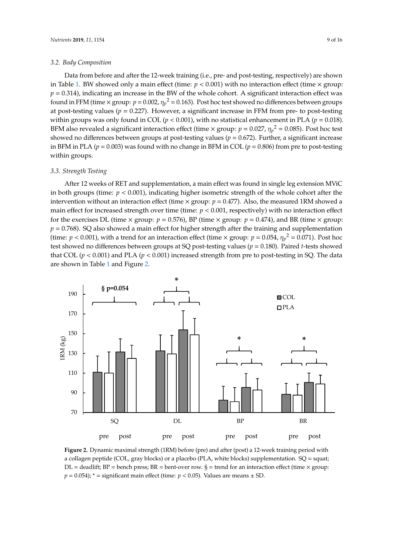# *3.2. Body Composition 3.2. Body Composition*

Data from before and after the 12-week training (i.e., pre- and post-testing, respectively) are shown Data from before and after the 12-week training (i.e., pre- and post-testing, respectively) are i[n](#page-7-0) Table 1. BW showed only a main effect (time:  $p < 0.001$ ) with no interaction effect (time  $\times$  group:  $p = 0.314$ ), indicating an increase in the BW of the whole cohort. A significant interaction effect was found in FFM (time  $\times$  group:  $p = 0.002$ ,  $\eta_p^2 = 0.163$ ). Post hoc test showed no differences between groups at post-testing values ( $p = 0.227$ ). However, a significant increase in FFM from pre- to post-testing within groups was only found in COL ( $p < 0.001$ ), with no statistical enhancement in PLA ( $p = 0.018$ ). BFM also revealed a significant interaction effect (time  $\times$  group:  $p = 0.027$ ,  $\eta_p^2 = 0.085$ ). Post hoc test showed no differences between groups at post-testing values ( $p = 0.672$ ). Further, a significant increase in BFM in PLA ( $p = 0.003$ ) was found with no change in BFM in COL ( $p = 0.806$ ) from pre to post-testing within groups.

#### *3.3. Strength Testing 3.3. Strength Testing*

After 12 weeks of RET and supplementation, a main effect was found in single leg extension MViC After 12 weeks of RET and supplementation, a main effect was found in single leg extension in both groups (time:  $p < 0.001$ ), indicating higher isometric strength of the whole cohort after the intervention without an interaction effect (time  $\times$  group:  $p = 0.477$ ). Also, the measured 1RM showed a main effect for increased strength over time (time:  $p < 0.001$ , respectively) with no interaction effect for the exercises DL (time  $\times$  group:  $p = 0.576$ ), BP (time  $\times$  group:  $p = 0.474$ ), and BR (time  $\times$  group:  $p = 0.768$ ). SQ also showed a main effect for higher strength after the training and supplementation (time:  $p < 0.001$ ), with a trend for an interaction effect (time  $\times$  group:  $p = 0.054$ ,  $\eta_p^2 = 0.071$ ). Post hoc test showed no differences between groups at SQ post-testing values ( $p = 0.180$ ). Paired *t*-tests showed that COL ( $p < 0.001$ ) and PLA ( $p < 0.001$ ) increased strength from pre to post-testing in SQ. The data are sho[wn](#page-8-0) in Table 1 and Figure 2.

<span id="page-8-0"></span>

**Figure 2.** Dynamic maximal strength (1RM) before (pre) and after (post) a 12-week training period with a a collagen peptide (COL, gray blocks) or a placebo (PLA, white blocks) supplementation. SQ = squat;  $\sum_{n=1}^{\infty}$  DL = deadlift; BP = bench press; BR = bent-over row. § = trend for an interaction effect (time × group:  $p = 0.054$ ; \* = significant main effect (time: *p* < 0.05). Values are means  $\pm$  SD.  $\mathbf{p}$  = significant matrix  $\mathbf{p}$ . The parameter  $\mathbf{p}$ **Figure 2.** Dynamic maximal strength (1RM) before (pre) and after (post) a 12-week training period with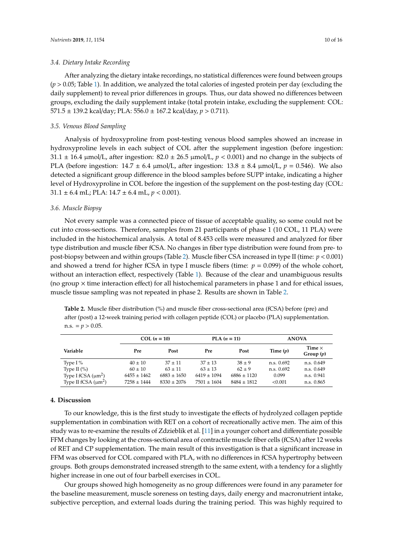#### *3.4. Dietary Intake Recording*

After analyzing the dietary intake recordings, no statistical differences were found between groups  $(p > 0.05;$  Table [1\)](#page-7-0). In addition, we analyzed the total calories of ingested protein per day (excluding the daily supplement) to reveal prior differences in groups. Thus, our data showed no differences between groups, excluding the daily supplement intake (total protein intake, excluding the supplement: COL: 571.5 ± 139.2 kcal/day; PLA: 556.0 ± 167.2 kcal/day, *p* > 0.711).

# *3.5. Venous Blood Sampling*

Analysis of hydroxyproline from post-testing venous blood samples showed an increase in hydroxyproline levels in each subject of COL after the supplement ingestion (before ingestion:  $31.1 \pm 16.4$  µmol/L, after ingestion:  $82.0 \pm 26.5$  µmol/L,  $p < 0.001$ ) and no change in the subjects of PLA (before ingestion:  $14.7 \pm 6.4 \mu$ mol/L, after ingestion:  $13.8 \pm 8.4 \mu$ mol/L,  $p = 0.546$ ). We also detected a significant group difference in the blood samples before SUPP intake, indicating a higher level of Hydroxyproline in COL before the ingestion of the supplement on the post-testing day (COL:  $31.1 \pm 6.4$  mL; PLA:  $14.7 \pm 6.4$  mL,  $p < 0.001$ ).

#### *3.6. Muscle Biopsy*

Not every sample was a connected piece of tissue of acceptable quality, so some could not be cut into cross-sections. Therefore, samples from 21 participants of phase 1 (10 COL, 11 PLA) were included in the histochemical analysis. A total of 8.453 cells were measured and analyzed for fiber type distribution and muscle fiber fCSA. No changes in fiber type distribution were found from pre- to post-biopsy between and within groups (Table [2\)](#page-9-0). Muscle fiber CSA increased in type II (time: *p* < 0.001) and showed a trend for higher fCSA in type I muscle fibers (time: *p* = 0.099) of the whole cohort, without an interaction effect, respectively (Table [1\)](#page-7-0). Because of the clear and unambiguous results (no group  $\times$  time interaction effect) for all histochemical parameters in phase 1 and for ethical issues, muscle tissue sampling was not repeated in phase 2. Results are shown in Table [2.](#page-9-0)

<span id="page-9-0"></span>**Table 2.** Muscle fiber distribution (%) and muscle fiber cross-sectional area (fCSA) before (pre) and after (post) a 12-week training period with collagen peptide (COL) or placebo (PLA) supplementation. n.s.  $= p > 0.05$ .

|                          |                 | COL $(n = 10)$  |                 | $PLA (n = 11)$  | <b>ANOVA</b> |                              |  |
|--------------------------|-----------------|-----------------|-----------------|-----------------|--------------|------------------------------|--|
| Variable                 | Pre             | Post            | Pre             | Post            | Time $(p)$   | Time $\times$<br>Group $(p)$ |  |
| Type I $%$               | $40 \pm 10$     | $37 + 11$       | $37 + 13$       | $38 + 9$        | n.s. 0.692   | n.s. 0.649                   |  |
| Type II $(\% )$          | $60 \pm 10$     | $63 + 11$       | $63 + 13$       | $62 + 9$        | n.s. 0.692   | n.s. 0.649                   |  |
| Type I fCSA $(\mu m^2)$  | $6455 \pm 1462$ | $6883 \pm 1650$ | $6419 \pm 1094$ | $6886 \pm 1120$ | 0.099        | n.s. 0.941                   |  |
| Type II fCSA $(\mu m^2)$ | $7258 \pm 1444$ | $8330 \pm 2076$ | $7501 \pm 1604$ | $8484 + 1812$   | < 0.001      | n.s. 0.865                   |  |

# **4. Discussion**

To our knowledge, this is the first study to investigate the effects of hydrolyzed collagen peptide supplementation in combination with RET on a cohort of recreationally active men. The aim of this study was to re-examine the results of Zdzieblik et al. [\[11\]](#page-13-9) in a younger cohort and differentiate possible FFM changes by looking at the cross-sectional area of contractile muscle fiber cells (fCSA) after 12 weeks of RET and CP supplementation. The main result of this investigation is that a significant increase in FFM was observed for COL compared with PLA, with no differences in fCSA hypertrophy between groups. Both groups demonstrated increased strength to the same extent, with a tendency for a slightly higher increase in one out of four barbell exercises in COL.

Our groups showed high homogeneity as no group differences were found in any parameter for the baseline measurement, muscle soreness on testing days, daily energy and macronutrient intake, subjective perception, and external loads during the training period. This was highly required to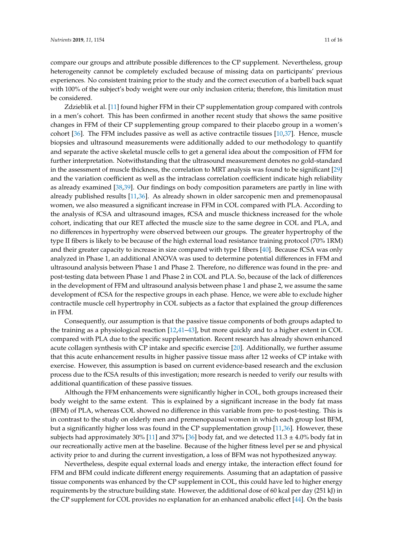compare our groups and attribute possible differences to the CP supplement. Nevertheless, group heterogeneity cannot be completely excluded because of missing data on participants' previous experiences. No consistent training prior to the study and the correct execution of a barbell back squat with 100% of the subject's body weight were our only inclusion criteria; therefore, this limitation must be considered.

Zdzieblik et al. [\[11\]](#page-13-9) found higher FFM in their CP supplementation group compared with controls in a men's cohort. This has been confirmed in another recent study that shows the same positive changes in FFM of their CP supplementing group compared to their placebo group in a women's cohort [\[36\]](#page-14-18). The FFM includes passive as well as active contractile tissues [\[10,](#page-13-8)[37\]](#page-14-19). Hence, muscle biopsies and ultrasound measurements were additionally added to our methodology to quantify and separate the active skeletal muscle cells to get a general idea about the composition of FFM for further interpretation. Notwithstanding that the ultrasound measurement denotes no gold-standard in the assessment of muscle thickness, the correlation to MRT analysis was found to be significant [\[29\]](#page-14-11) and the variation coefficient as well as the intraclass correlation coefficient indicate high reliability as already examined [\[38](#page-15-0)[,39\]](#page-15-1). Our findings on body composition parameters are partly in line with already published results [\[11,](#page-13-9)[36\]](#page-14-18). As already shown in older sarcopenic men and premenopausal women, we also measured a significant increase in FFM in COL compared with PLA. According to the analysis of fCSA and ultrasound images, fCSA and muscle thickness increased for the whole cohort, indicating that our RET affected the muscle size to the same degree in COL and PLA, and no differences in hypertrophy were observed between our groups. The greater hypertrophy of the type II fibers is likely to be because of the high external load resistance training protocol (70% 1RM) and their greater capacity to increase in size compared with type I fibers [\[40\]](#page-15-2). Because fCSA was only analyzed in Phase 1, an additional ANOVA was used to determine potential differences in FFM and ultrasound analysis between Phase 1 and Phase 2. Therefore, no difference was found in the pre- and post-testing data between Phase 1 and Phase 2 in COL and PLA. So, because of the lack of differences in the development of FFM and ultrasound analysis between phase 1 and phase 2, we assume the same development of fCSA for the respective groups in each phase. Hence, we were able to exclude higher contractile muscle cell hypertrophy in COL subjects as a factor that explained the group differences in FFM.

Consequently, our assumption is that the passive tissue components of both groups adapted to the training as a physiological reaction [\[12](#page-13-10)[,41–](#page-15-3)[43\]](#page-15-4), but more quickly and to a higher extent in COL compared with PLA due to the specific supplementation. Recent research has already shown enhanced acute collagen synthesis with CP intake and specific exercise [\[20\]](#page-14-2). Additionally, we further assume that this acute enhancement results in higher passive tissue mass after 12 weeks of CP intake with exercise. However, this assumption is based on current evidence-based research and the exclusion process due to the fCSA results of this investigation; more research is needed to verify our results with additional quantification of these passive tissues.

Although the FFM enhancements were significantly higher in COL, both groups increased their body weight to the same extent. This is explained by a significant increase in the body fat mass (BFM) of PLA, whereas COL showed no difference in this variable from pre- to post-testing. This is in contrast to the study on elderly men and premenopausal women in which each group lost BFM, but a significantly higher loss was found in the CP supplementation group [\[11,](#page-13-9)[36\]](#page-14-18). However, these subjects had approximately 30% [\[11\]](#page-13-9) and 37% [\[36\]](#page-14-18) body fat, and we detected  $11.3 \pm 4.0\%$  body fat in our recreationally active men at the baseline. Because of the higher fitness level per se and physical activity prior to and during the current investigation, a loss of BFM was not hypothesized anyway.

Nevertheless, despite equal external loads and energy intake, the interaction effect found for FFM and BFM could indicate different energy requirements. Assuming that an adaptation of passive tissue components was enhanced by the CP supplement in COL, this could have led to higher energy requirements by the structure building state. However, the additional dose of 60 kcal per day (251 kJ) in the CP supplement for COL provides no explanation for an enhanced anabolic effect [\[44\]](#page-15-5). On the basis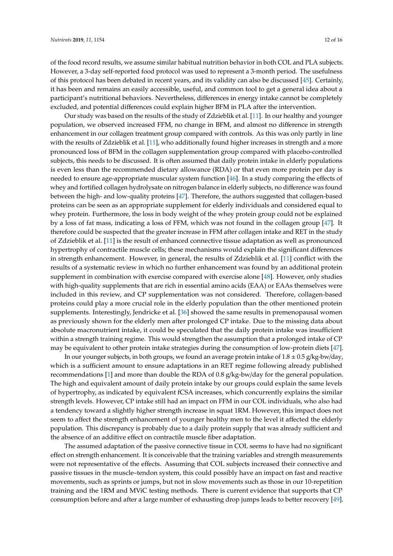of the food record results, we assume similar habitual nutrition behavior in both COL and PLA subjects. However, a 3-day self-reported food protocol was used to represent a 3-month period. The usefulness of this protocol has been debated in recent years, and its validity can also be discussed [\[45\]](#page-15-6). Certainly, it has been and remains an easily accessible, useful, and common tool to get a general idea about a participant's nutritional behaviors. Nevertheless, differences in energy intake cannot be completely excluded, and potential differences could explain higher BFM in PLA after the intervention.

Our study was based on the results of the study of Zdzieblik et al. [\[11\]](#page-13-9). In our healthy and younger population, we observed increased FFM, no change in BFM, and almost no difference in strength enhancement in our collagen treatment group compared with controls. As this was only partly in line with the results of Zdzieblik et al. [\[11\]](#page-13-9), who additionally found higher increases in strength and a more pronounced loss of BFM in the collagen supplementation group compared with placebo-controlled subjects, this needs to be discussed. It is often assumed that daily protein intake in elderly populations is even less than the recommended dietary allowance (RDA) or that even more protein per day is needed to ensure age-appropriate muscular system function [\[46\]](#page-15-7). In a study comparing the effects of whey and fortified collagen hydrolysate on nitrogen balance in elderly subjects, no difference was found between the high- and low-quality proteins [\[47\]](#page-15-8). Therefore, the authors suggested that collagen-based proteins can be seen as an appropriate supplement for elderly individuals and considered equal to whey protein. Furthermore, the loss in body weight of the whey protein group could not be explained by a loss of fat mass, indicating a loss of FFM, which was not found in the collagen group [\[47\]](#page-15-8). It therefore could be suspected that the greater increase in FFM after collagen intake and RET in the study of Zdzieblik et al. [\[11\]](#page-13-9) is the result of enhanced connective tissue adaptation as well as pronounced hypertrophy of contractile muscle cells; these mechanisms would explain the significant differences in strength enhancement. However, in general, the results of Zdzieblik et al. [\[11\]](#page-13-9) conflict with the results of a systematic review in which no further enhancement was found by an additional protein supplement in combination with exercise compared with exercise alone [\[48\]](#page-15-9). However, only studies with high-quality supplements that are rich in essential amino acids (EAA) or EAAs themselves were included in this review, and CP supplementation was not considered. Therefore, collagen-based proteins could play a more crucial role in the elderly population than the other mentioned protein supplements. Interestingly, Jendricke et al. [\[36\]](#page-14-18) showed the same results in premenopausal women as previously shown for the elderly men after prolonged CP intake. Due to the missing data about absolute macronutrient intake, it could be speculated that the daily protein intake was insufficient within a strength training regime. This would strengthen the assumption that a prolonged intake of CP may be equivalent to other protein intake strategies during the consumption of low-protein diets [\[47\]](#page-15-8).

In our younger subjects, in both groups, we found an average protein intake of  $1.8 \pm 0.5$  g/kg-bw/day, which is a sufficient amount to ensure adaptations in an RET regime following already published recommendations [\[1\]](#page-13-0) and more than double the RDA of 0.8 g/kg-bw/day for the general population. The high and equivalent amount of daily protein intake by our groups could explain the same levels of hypertrophy, as indicated by equivalent fCSA increases, which concurrently explains the similar strength levels. However, CP intake still had an impact on FFM in our COL individuals, who also had a tendency toward a slightly higher strength increase in squat 1RM. However, this impact does not seem to affect the strength enhancement of younger healthy men to the level it affected the elderly population. This discrepancy is probably due to a daily protein supply that was already sufficient and the absence of an additive effect on contractile muscle fiber adaptation.

The assumed adaptation of the passive connective tissue in COL seems to have had no significant effect on strength enhancement. It is conceivable that the training variables and strength measurements were not representative of the effects. Assuming that COL subjects increased their connective and passive tissues in the muscle–tendon system, this could possibly have an impact on fast and reactive movements, such as sprints or jumps, but not in slow movements such as those in our 10-repetition training and the 1RM and MViC testing methods. There is current evidence that supports that CP consumption before and after a large number of exhausting drop jumps leads to better recovery [\[49\]](#page-15-10).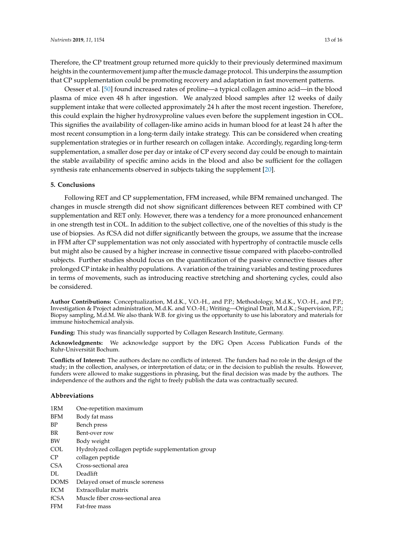Therefore, the CP treatment group returned more quickly to their previously determined maximum heights in the countermovement jump after the muscle damage protocol. This underpins the assumption that CP supplementation could be promoting recovery and adaptation in fast movement patterns.

Oesser et al. [\[50\]](#page-15-11) found increased rates of proline—a typical collagen amino acid—in the blood plasma of mice even 48 h after ingestion. We analyzed blood samples after 12 weeks of daily supplement intake that were collected approximately 24 h after the most recent ingestion. Therefore, this could explain the higher hydroxyproline values even before the supplement ingestion in COL. This signifies the availability of collagen-like amino acids in human blood for at least 24 h after the most recent consumption in a long-term daily intake strategy. This can be considered when creating supplementation strategies or in further research on collagen intake. Accordingly, regarding long-term supplementation, a smaller dose per day or intake of CP every second day could be enough to maintain the stable availability of specific amino acids in the blood and also be sufficient for the collagen synthesis rate enhancements observed in subjects taking the supplement [\[20\]](#page-14-2).

#### **5. Conclusions**

Following RET and CP supplementation, FFM increased, while BFM remained unchanged. The changes in muscle strength did not show significant differences between RET combined with CP supplementation and RET only. However, there was a tendency for a more pronounced enhancement in one strength test in COL. In addition to the subject collective, one of the novelties of this study is the use of biopsies. As fCSA did not differ significantly between the groups, we assume that the increase in FFM after CP supplementation was not only associated with hypertrophy of contractile muscle cells but might also be caused by a higher increase in connective tissue compared with placebo-controlled subjects. Further studies should focus on the quantification of the passive connective tissues after prolonged CP intake in healthy populations. A variation of the training variables and testing procedures in terms of movements, such as introducing reactive stretching and shortening cycles, could also be considered.

**Author Contributions:** Conceptualization, M.d.K., V.O.-H., and P.P.; Methodology, M.d.K., V.O.-H., and P.P.; Investigation & Project administration, M.d.K. and V.O.-H.; Writing—Original Draft, M.d.K.; Supervision, P.P.; Biopsy sampling, M.d.M. We also thank W.B. for giving us the opportunity to use his laboratory and materials for immune histochemical analysis.

**Funding:** This study was financially supported by Collagen Research Institute, Germany.

**Acknowledgments:** We acknowledge support by the DFG Open Access Publication Funds of the Ruhr-Universität Bochum.

**Conflicts of Interest:** The authors declare no conflicts of interest. The funders had no role in the design of the study; in the collection, analyses, or interpretation of data; or in the decision to publish the results. However, funders were allowed to make suggestions in phrasing, but the final decision was made by the authors. The independence of the authors and the right to freely publish the data was contractually secured.

#### **Abbreviations**

| 1RM              | One-repetition maximum                            |
|------------------|---------------------------------------------------|
| <b>BFM</b>       | Body fat mass                                     |
| <b>BP</b>        | Bench press                                       |
| <b>BR</b>        | Bent-over row                                     |
| BW               | Body weight                                       |
| COL              | Hydrolyzed collagen peptide supplementation group |
| CP.              | collagen peptide                                  |
| CSA <sup>.</sup> | Cross-sectional area                              |
| DL.              | Deadlift                                          |
| <b>DOMS</b>      | Delayed onset of muscle soreness                  |
| <b>ECM</b>       | Extracellular matrix                              |
| fCSA             | Muscle fiber cross-sectional area                 |
| <b>FFM</b>       | Fat-free mass                                     |
|                  |                                                   |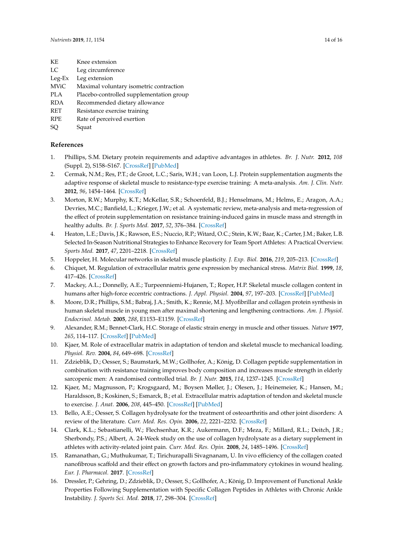- KE Knee extension
- LC Leg circumference
- Leg-Ex Leg extension
- MViC Maximal voluntary isometric contraction
- PLA Placebo-controlled supplementation group
- RDA Recommended dietary allowance
- RET Resistance exercise training
- RPE Rate of perceived exertion
- SQ Squat

# **References**

- <span id="page-13-0"></span>1. Phillips, S.M. Dietary protein requirements and adaptive advantages in athletes. *Br. J. Nutr.* **2012**, *108* (Suppl. 2), S158–S167. [\[CrossRef\]](http://dx.doi.org/10.1017/S0007114512002516) [\[PubMed\]](http://www.ncbi.nlm.nih.gov/pubmed/23107527)
- <span id="page-13-1"></span>2. Cermak, N.M.; Res, P.T.; de Groot, L.C.; Saris, W.H.; van Loon, L.J. Protein supplementation augments the adaptive response of skeletal muscle to resistance-type exercise training: A meta-analysis. *Am. J. Clin. Nutr.* **2012**, *96*, 1454–1464. [\[CrossRef\]](http://dx.doi.org/10.3945/ajcn.112.037556)
- <span id="page-13-2"></span>3. Morton, R.W.; Murphy, K.T.; McKellar, S.R.; Schoenfeld, B.J.; Henselmans, M.; Helms, E.; Aragon, A.A.; Devries, M.C.; Banfield, L.; Krieger, J.W.; et al. A systematic review, meta-analysis and meta-regression of the effect of protein supplementation on resistance training-induced gains in muscle mass and strength in healthy adults. *Br. J. Sports Med.* **2017**, *52*, 376–384. [\[CrossRef\]](http://dx.doi.org/10.1136/bjsports-2017-097608)
- <span id="page-13-3"></span>4. Heaton, L.E.; Davis, J.K.; Rawson, E.S.; Nuccio, R.P.; Witard, O.C.; Stein, K.W.; Baar, K.; Carter, J.M.; Baker, L.B. Selected In-Season Nutritional Strategies to Enhance Recovery for Team Sport Athletes: A Practical Overview. *Sports Med.* **2017**, *47*, 2201–2218. [\[CrossRef\]](http://dx.doi.org/10.1007/s40279-017-0759-2)
- <span id="page-13-4"></span>5. Hoppeler, H. Molecular networks in skeletal muscle plasticity. *J. Exp. Biol.* **2016**, *219*, 205–213. [\[CrossRef\]](http://dx.doi.org/10.1242/jeb.128207)
- <span id="page-13-5"></span>6. Chiquet, M. Regulation of extracellular matrix gene expression by mechanical stress. *Matrix Biol.* **1999**, *18*, 417–426. [\[CrossRef\]](http://dx.doi.org/10.1016/S0945-053X(99)00039-6)
- 7. Mackey, A.L.; Donnelly, A.E.; Turpeenniemi-Hujanen, T.; Roper, H.P. Skeletal muscle collagen content in humans after high-force eccentric contractions. *J. Appl. Physiol.* **2004**, *97*, 197–203. [\[CrossRef\]](http://dx.doi.org/10.1152/japplphysiol.01174.2003) [\[PubMed\]](http://www.ncbi.nlm.nih.gov/pubmed/14990551)
- <span id="page-13-6"></span>8. Moore, D.R.; Phillips, S.M.; Babraj, J.A.; Smith, K.; Rennie, M.J. Myofibrillar and collagen protein synthesis in human skeletal muscle in young men after maximal shortening and lengthening contractions. *Am. J. Physiol. Endocrinol. Metab.* **2005**, *288*, E1153–E1159. [\[CrossRef\]](http://dx.doi.org/10.1152/ajpendo.00387.2004)
- <span id="page-13-7"></span>9. Alexander, R.M.; Bennet-Clark, H.C. Storage of elastic strain energy in muscle and other tissues. *Nature* **1977**, *265*, 114–117. [\[CrossRef\]](http://dx.doi.org/10.1038/265114a0) [\[PubMed\]](http://www.ncbi.nlm.nih.gov/pubmed/834252)
- <span id="page-13-8"></span>10. Kjaer, M. Role of extracellular matrix in adaptation of tendon and skeletal muscle to mechanical loading. *Physiol. Rev.* **2004**, *84*, 649–698. [\[CrossRef\]](http://dx.doi.org/10.1152/physrev.00031.2003)
- <span id="page-13-9"></span>11. Zdzieblik, D.; Oesser, S.; Baumstark, M.W.; Gollhofer, A.; König, D. Collagen peptide supplementation in combination with resistance training improves body composition and increases muscle strength in elderly sarcopenic men: A randomised controlled trial. *Br. J. Nutr.* **2015**, *114*, 1237–1245. [\[CrossRef\]](http://dx.doi.org/10.1017/S0007114515002810)
- <span id="page-13-10"></span>12. Kjaer, M.; Magnusson, P.; Krogsgaard, M.; Boysen Møller, J.; Olesen, J.; Heinemeier, K.; Hansen, M.; Haraldsson, B.; Koskinen, S.; Esmarck, B.; et al. Extracellular matrix adaptation of tendon and skeletal muscle to exercise. *J. Anat.* **2006**, *208*, 445–450. [\[CrossRef\]](http://dx.doi.org/10.1111/j.1469-7580.2006.00549.x) [\[PubMed\]](http://www.ncbi.nlm.nih.gov/pubmed/16637870)
- <span id="page-13-11"></span>13. Bello, A.E.; Oesser, S. Collagen hydrolysate for the treatment of osteoarthritis and other joint disorders: A review of the literature. *Curr. Med. Res. Opin.* **2006**, *22*, 2221–2232. [\[CrossRef\]](http://dx.doi.org/10.1185/030079906X148373)
- 14. Clark, K.L.; Sebastianelli, W.; Flechsenhar, K.R.; Aukermann, D.F.; Meza, F.; Millard, R.L.; Deitch, J.R.; Sherbondy, P.S.; Albert, A. 24-Week study on the use of collagen hydrolysate as a dietary supplement in athletes with activity-related joint pain. *Curr. Med. Res. Opin.* **2008**, *24*, 1485–1496. [\[CrossRef\]](http://dx.doi.org/10.1185/030079908X291967)
- 15. Ramanathan, G.; Muthukumar, T.; Tirichurapalli Sivagnanam, U. In vivo efficiency of the collagen coated nanofibrous scaffold and their effect on growth factors and pro-inflammatory cytokines in wound healing. *Eur. J. Pharmacol.* **2017**. [\[CrossRef\]](http://dx.doi.org/10.1016/j.ejphar.2017.08.003)
- 16. Dressler, P.; Gehring, D.; Zdzieblik, D.; Oesser, S.; Gollhofer, A.; König, D. Improvement of Functional Ankle Properties Following Supplementation with Specific Collagen Peptides in Athletes with Chronic Ankle Instability. *J. Sports Sci. Med.* **2018**, *17*, 298–304. [\[CrossRef\]](http://dx.doi.org/10.1016/j.jbmt.2018.09.037)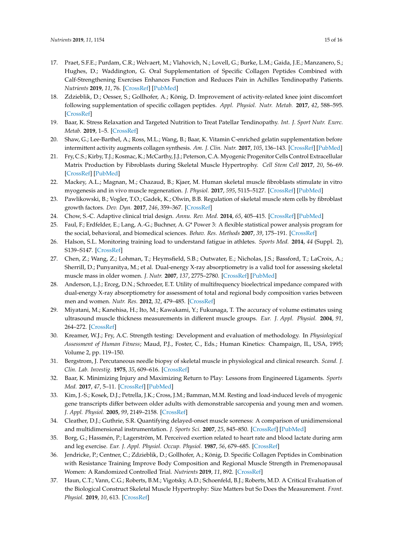- 17. Praet, S.F.E.; Purdam, C.R.; Welvaert, M.; Vlahovich, N.; Lovell, G.; Burke, L.M.; Gaida, J.E.; Manzanero, S.; Hughes, D.; Waddington, G. Oral Supplementation of Specific Collagen Peptides Combined with Calf-Strengthening Exercises Enhances Function and Reduces Pain in Achilles Tendinopathy Patients. *Nutrients* **2019**, *11*, 76. [\[CrossRef\]](http://dx.doi.org/10.3390/nu11010076) [\[PubMed\]](http://www.ncbi.nlm.nih.gov/pubmed/30609761)
- <span id="page-14-0"></span>18. Zdzieblik, D.; Oesser, S.; Gollhofer, A.; König, D. Improvement of activity-related knee joint discomfort following supplementation of specific collagen peptides. *Appl. Physiol. Nutr. Metab.* **2017**, *42*, 588–595. [\[CrossRef\]](http://dx.doi.org/10.1139/apnm-2016-0390)
- <span id="page-14-1"></span>19. Baar, K. Stress Relaxation and Targeted Nutrition to Treat Patellar Tendinopathy. *Int. J. Sport Nutr. Exerc. Metab.* **2019**, 1–5. [\[CrossRef\]](http://dx.doi.org/10.1123/ijsnem.2018-0231)
- <span id="page-14-2"></span>20. Shaw, G.; Lee-Barthel, A.; Ross, M.L.; Wang, B.; Baar, K. Vitamin C-enriched gelatin supplementation before intermittent activity augments collagen synthesis. *Am. J. Clin. Nutr.* **2017**, *105*, 136–143. [\[CrossRef\]](http://dx.doi.org/10.3945/ajcn.116.138594) [\[PubMed\]](http://www.ncbi.nlm.nih.gov/pubmed/27852613)
- <span id="page-14-3"></span>21. Fry, C.S.; Kirby, T.J.; Kosmac, K.; McCarthy, J.J.; Peterson, C.A. Myogenic Progenitor Cells Control Extracellular Matrix Production by Fibroblasts during Skeletal Muscle Hypertrophy. *Cell Stem Cell* **2017**, *20*, 56–69. [\[CrossRef\]](http://dx.doi.org/10.1016/j.stem.2016.09.010) [\[PubMed\]](http://www.ncbi.nlm.nih.gov/pubmed/27840022)
- <span id="page-14-4"></span>22. Mackey, A.L.; Magnan, M.; Chazaud, B.; Kjaer, M. Human skeletal muscle fibroblasts stimulate in vitro myogenesis and in vivo muscle regeneration. *J. Physiol.* **2017**, *595*, 5115–5127. [\[CrossRef\]](http://dx.doi.org/10.1113/JP273997) [\[PubMed\]](http://www.ncbi.nlm.nih.gov/pubmed/28369879)
- <span id="page-14-5"></span>23. Pawlikowski, B.; Vogler, T.O.; Gadek, K.; Olwin, B.B. Regulation of skeletal muscle stem cells by fibroblast growth factors. *Dev. Dyn.* **2017**, *246*, 359–367. [\[CrossRef\]](http://dx.doi.org/10.1002/dvdy.24495)
- <span id="page-14-6"></span>24. Chow, S.-C. Adaptive clinical trial design. *Annu. Rev. Med.* **2014**, *65*, 405–415. [\[CrossRef\]](http://dx.doi.org/10.1146/annurev-med-092012-112310) [\[PubMed\]](http://www.ncbi.nlm.nih.gov/pubmed/24422576)
- <span id="page-14-7"></span>25. Faul, F.; Erdfelder, E.; Lang, A.-G.; Buchner, A. G\* Power 3: A flexible statistical power analysis program for the social, behavioral, and biomedical sciences. *Behav. Res. Methods* **2007**, *39*, 175–191. [\[CrossRef\]](http://dx.doi.org/10.3758/BF03193146)
- <span id="page-14-8"></span>26. Halson, S.L. Monitoring training load to understand fatigue in athletes. *Sports Med.* **2014**, *44* (Suppl. 2), S139–S147. [\[CrossRef\]](http://dx.doi.org/10.1007/s40279-014-0253-z)
- <span id="page-14-9"></span>27. Chen, Z.; Wang, Z.; Lohman, T.; Heymsfield, S.B.; Outwater, E.; Nicholas, J.S.; Bassford, T.; LaCroix, A.; Sherrill, D.; Punyanitya, M.; et al. Dual-energy X-ray absorptiometry is a valid tool for assessing skeletal muscle mass in older women. *J. Nutr.* **2007**, *137*, 2775–2780. [\[CrossRef\]](http://dx.doi.org/10.1093/jn/137.12.2775) [\[PubMed\]](http://www.ncbi.nlm.nih.gov/pubmed/18029498)
- <span id="page-14-10"></span>28. Anderson, L.J.; Erceg, D.N.; Schroeder, E.T. Utility of multifrequency bioelectrical impedance compared with dual-energy X-ray absorptiometry for assessment of total and regional body composition varies between men and women. *Nutr. Res.* **2012**, *32*, 479–485. [\[CrossRef\]](http://dx.doi.org/10.1016/j.nutres.2012.05.009)
- <span id="page-14-11"></span>29. Miyatani, M.; Kanehisa, H.; Ito, M.; Kawakami, Y.; Fukunaga, T. The accuracy of volume estimates using ultrasound muscle thickness measurements in different muscle groups. *Eur. J. Appl. Physiol.* **2004**, *91*, 264–272. [\[CrossRef\]](http://dx.doi.org/10.1007/s00421-003-0974-4)
- <span id="page-14-12"></span>30. Kreamer, W.J.; Fry, A.C. Strength testing: Development and evaluation of methodology. In *Physiological Assessment of Human Fitness*; Maud, P.J., Foster, C., Eds.; Human Kinetics: Champaign, IL, USA, 1995; Volume 2, pp. 119–150.
- <span id="page-14-13"></span>31. Bergstrom, J. Percutaneous needle biopsy of skeletal muscle in physiological and clinical research. *Scand. J. Clin. Lab. Investig.* **1975**, *35*, 609–616. [\[CrossRef\]](http://dx.doi.org/10.3109/00365517509095787)
- <span id="page-14-14"></span>32. Baar, K. Minimizing Injury and Maximizing Return to Play: Lessons from Engineered Ligaments. *Sports Med.* **2017**, *47*, 5–11. [\[CrossRef\]](http://dx.doi.org/10.1007/s40279-017-0719-x) [\[PubMed\]](http://www.ncbi.nlm.nih.gov/pubmed/28332110)
- <span id="page-14-15"></span>33. Kim, J.-S.; Kosek, D.J.; Petrella, J.K.; Cross, J.M.; Bamman, M.M. Resting and load-induced levels of myogenic gene transcripts differ between older adults with demonstrable sarcopenia and young men and women. *J. Appl. Physiol.* **2005**, *99*, 2149–2158. [\[CrossRef\]](http://dx.doi.org/10.1152/japplphysiol.00513.2005)
- <span id="page-14-16"></span>34. Cleather, D.J.; Guthrie, S.R. Quantifying delayed-onset muscle soreness: A comparison of unidimensional and multidimensional instrumentation. *J. Sports Sci.* **2007**, *25*, 845–850. [\[CrossRef\]](http://dx.doi.org/10.1080/02640410600908050) [\[PubMed\]](http://www.ncbi.nlm.nih.gov/pubmed/17474037)
- <span id="page-14-17"></span>35. Borg, G.; Hassmén, P.; Lagerström, M. Perceived exertion related to heart rate and blood lactate during arm and leg exercise. *Eur. J. Appl. Physiol. Occup. Physiol.* **1987**, *56*, 679–685. [\[CrossRef\]](http://dx.doi.org/10.1007/BF00424810)
- <span id="page-14-18"></span>36. Jendricke, P.; Centner, C.; Zdzieblik, D.; Gollhofer, A.; König, D. Specific Collagen Peptides in Combination with Resistance Training Improve Body Composition and Regional Muscle Strength in Premenopausal Women: A Randomized Controlled Trial. *Nutrients* **2019**, *11*, 892. [\[CrossRef\]](http://dx.doi.org/10.3390/nu11040892)
- <span id="page-14-19"></span>37. Haun, C.T.; Vann, C.G.; Roberts, B.M.; Vigotsky, A.D.; Schoenfeld, B.J.; Roberts, M.D. A Critical Evaluation of the Biological Construct Skeletal Muscle Hypertrophy: Size Matters but So Does the Measurement. *Front. Physiol.* **2019**, *10*, 613. [\[CrossRef\]](http://dx.doi.org/10.3389/fphys.2019.00247)